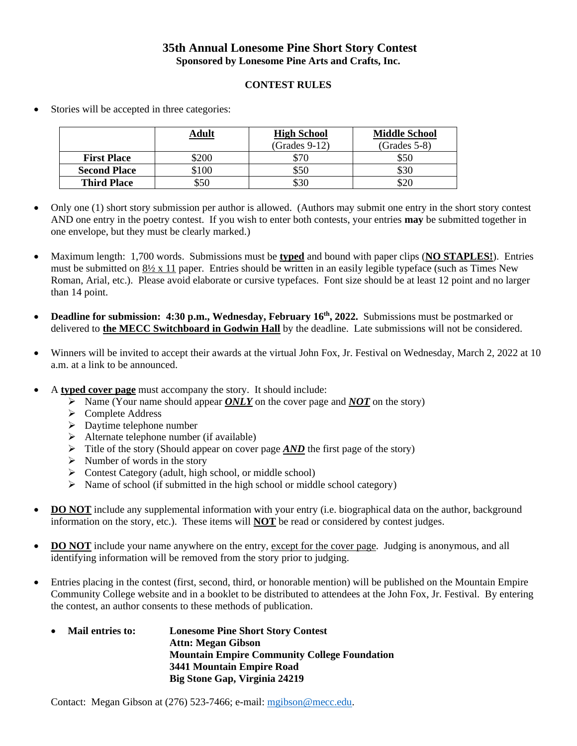## **35th Annual Lonesome Pine Short Story Contest Sponsored by Lonesome Pine Arts and Crafts, Inc.**

## **CONTEST RULES**

- **Adult High School** (Grades 9-12) **Middle School** (Grades 5-8) **First Place**  $\begin{array}{|c|c|c|c|} \hline \text{$50} & \text{$50} \end{array}$ **Second Place** \$100 \$50 \$30 **Third Place**  $\begin{array}{|c|c|c|c|} \hline \text{550} & \text{530} & \text{520} \\ \hline \end{array}$
- Stories will be accepted in three categories:

- Only one (1) short story submission per author is allowed. (Authors may submit one entry in the short story contest AND one entry in the poetry contest. If you wish to enter both contests, your entries **may** be submitted together in one envelope, but they must be clearly marked.)
- Maximum length: 1,700 words. Submissions must be **typed** and bound with paper clips (**NO STAPLES!**). Entries must be submitted on  $8\frac{1}{2} \times 11$  paper. Entries should be written in an easily legible typeface (such as Times New Roman, Arial, etc.). Please avoid elaborate or cursive typefaces. Font size should be at least 12 point and no larger than 14 point.
- Deadline for submission: 4:30 p.m., Wednesday, February 16<sup>th</sup>, 2022. Submissions must be postmarked or delivered to **the MECC Switchboard in Godwin Hall** by the deadline. Late submissions will not be considered.
- Winners will be invited to accept their awards at the virtual John Fox, Jr. Festival on Wednesday, March 2, 2022 at 10 a.m. at a link to be announced.
- A **typed cover page** must accompany the story. It should include:
	- ➢ Name (Your name should appear *ONLY* on the cover page and *NOT* on the story)
	- ➢ Complete Address
	- ➢ Daytime telephone number
	- $\triangleright$  Alternate telephone number (if available)
	- ➢ Title of the story (Should appear on cover page *AND* the first page of the story)
	- $\triangleright$  Number of words in the story
	- ➢ Contest Category (adult, high school, or middle school)
	- $\triangleright$  Name of school (if submitted in the high school or middle school category)
- **DO NOT** include any supplemental information with your entry (i.e. biographical data on the author, background information on the story, etc.). These items will **NOT** be read or considered by contest judges.
- **DO NOT** include your name anywhere on the entry, except for the cover page. Judging is anonymous, and all identifying information will be removed from the story prior to judging.
- Entries placing in the contest (first, second, third, or honorable mention) will be published on the Mountain Empire Community College website and in a booklet to be distributed to attendees at the John Fox, Jr. Festival. By entering the contest, an author consents to these methods of publication.
	- **Mail entries to: Lonesome Pine Short Story Contest Attn: Megan Gibson Mountain Empire Community College Foundation 3441 Mountain Empire Road Big Stone Gap, Virginia 24219**

Contact: Megan Gibson at (276) 523-7466; e-mail: [mgibson@mecc.edu.](mailto:mgibson@mecc.edu)